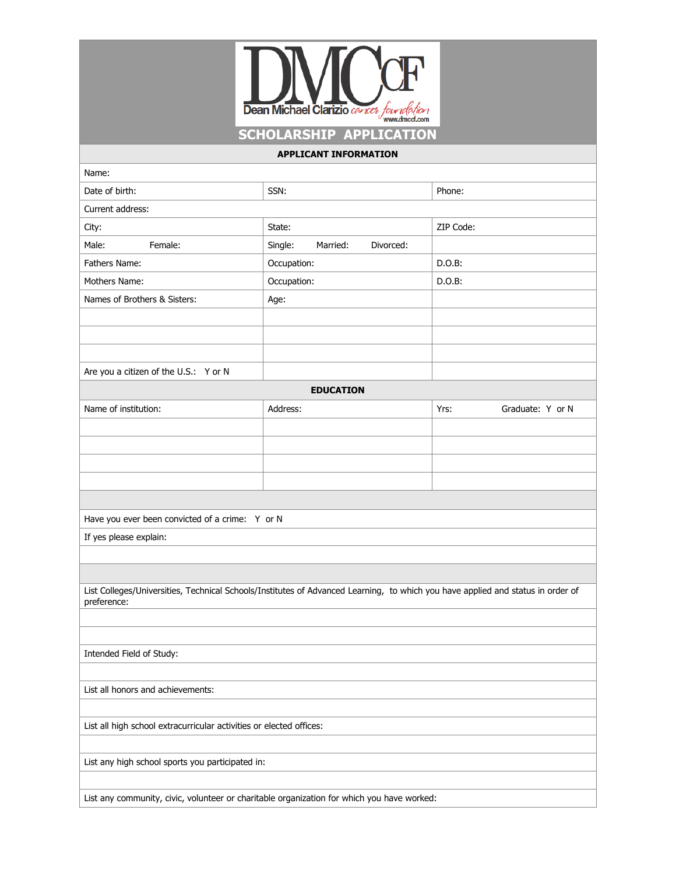

| <b>APPLICANT INFORMATION</b>                                                                                                    |                       |                          |  |  |  |
|---------------------------------------------------------------------------------------------------------------------------------|-----------------------|--------------------------|--|--|--|
| Name:                                                                                                                           |                       |                          |  |  |  |
| Date of birth:                                                                                                                  | SSN:                  | Phone:                   |  |  |  |
| Current address:                                                                                                                |                       |                          |  |  |  |
|                                                                                                                                 | State:                | ZIP Code:                |  |  |  |
| City:<br>Male:<br>Female:                                                                                                       | Married:<br>Divorced: |                          |  |  |  |
|                                                                                                                                 | Single:               | D.O.B:                   |  |  |  |
| Fathers Name:<br>Mothers Name:                                                                                                  | Occupation:           | $D.O.B$ :                |  |  |  |
|                                                                                                                                 | Occupation:           |                          |  |  |  |
| Names of Brothers & Sisters:                                                                                                    | Age:                  |                          |  |  |  |
|                                                                                                                                 |                       |                          |  |  |  |
|                                                                                                                                 |                       |                          |  |  |  |
|                                                                                                                                 |                       |                          |  |  |  |
| Are you a citizen of the U.S.: Y or N                                                                                           |                       |                          |  |  |  |
| <b>EDUCATION</b>                                                                                                                |                       |                          |  |  |  |
| Name of institution:                                                                                                            | Address:              | Graduate: Y or N<br>Yrs: |  |  |  |
|                                                                                                                                 |                       |                          |  |  |  |
|                                                                                                                                 |                       |                          |  |  |  |
|                                                                                                                                 |                       |                          |  |  |  |
|                                                                                                                                 |                       |                          |  |  |  |
|                                                                                                                                 |                       |                          |  |  |  |
| Have you ever been convicted of a crime: Y or N                                                                                 |                       |                          |  |  |  |
| If yes please explain:                                                                                                          |                       |                          |  |  |  |
|                                                                                                                                 |                       |                          |  |  |  |
|                                                                                                                                 |                       |                          |  |  |  |
| List Colleges/Universities, Technical Schools/Institutes of Advanced Learning, to which you have applied and status in order of |                       |                          |  |  |  |
| preference:                                                                                                                     |                       |                          |  |  |  |
|                                                                                                                                 |                       |                          |  |  |  |
|                                                                                                                                 |                       |                          |  |  |  |
| Intended Field of Study:                                                                                                        |                       |                          |  |  |  |
|                                                                                                                                 |                       |                          |  |  |  |
| List all honors and achievements:                                                                                               |                       |                          |  |  |  |
|                                                                                                                                 |                       |                          |  |  |  |
| List all high school extracurricular activities or elected offices:                                                             |                       |                          |  |  |  |
|                                                                                                                                 |                       |                          |  |  |  |
| List any high school sports you participated in:                                                                                |                       |                          |  |  |  |
|                                                                                                                                 |                       |                          |  |  |  |
| List any community, civic, volunteer or charitable organization for which you have worked:                                      |                       |                          |  |  |  |